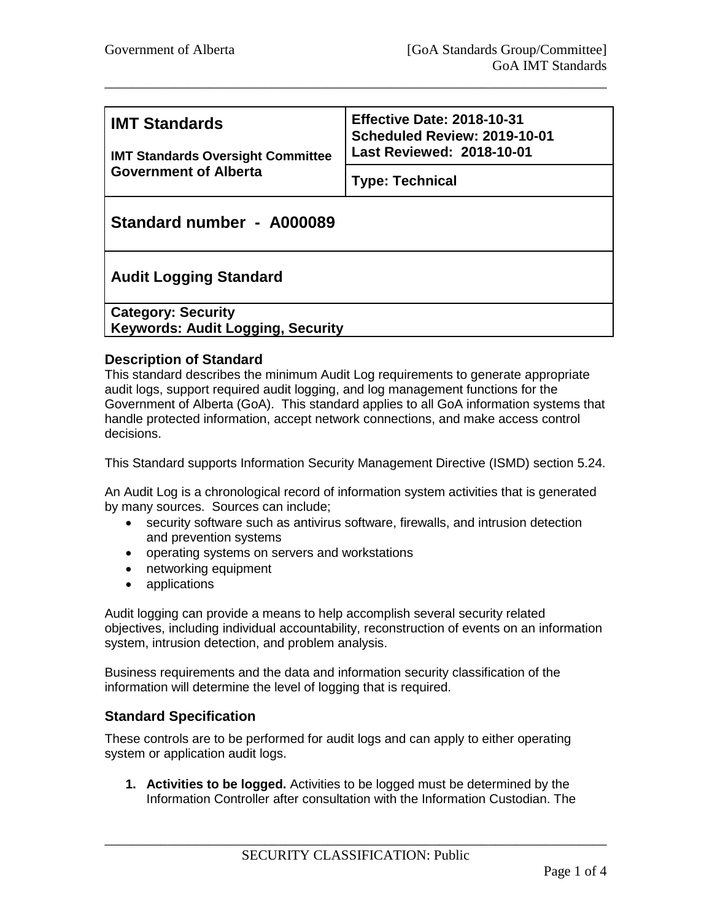| <b>IMT Standards</b><br><b>IMT Standards Oversight Committee</b><br><b>Government of Alberta</b> | <b>Effective Date: 2018-10-31</b><br>Scheduled Review: 2019-10-01<br><b>Last Reviewed: 2018-10-01</b> |  |
|--------------------------------------------------------------------------------------------------|-------------------------------------------------------------------------------------------------------|--|
|                                                                                                  | <b>Type: Technical</b>                                                                                |  |
| Standard number - A000089                                                                        |                                                                                                       |  |
| <b>Audit Logging Standard</b>                                                                    |                                                                                                       |  |
| <b>Category: Security</b><br><b>Keywords: Audit Logging, Security</b>                            |                                                                                                       |  |

\_\_\_\_\_\_\_\_\_\_\_\_\_\_\_\_\_\_\_\_\_\_\_\_\_\_\_\_\_\_\_\_\_\_\_\_\_\_\_\_\_\_\_\_\_\_\_\_\_\_\_\_\_\_\_\_\_\_\_\_\_\_\_\_\_\_\_\_\_\_\_\_

### **Description of Standard**

This standard describes the minimum Audit Log requirements to generate appropriate audit logs, support required audit logging, and log management functions for the Government of Alberta (GoA). This standard applies to all GoA information systems that handle protected information, accept network connections, and make access control decisions.

This Standard supports Information Security Management Directive (ISMD) section 5.24.

An Audit Log is a chronological record of information system activities that is generated by many sources. Sources can include;

- security software such as antivirus software, firewalls, and intrusion detection and prevention systems
- operating systems on servers and workstations
- networking equipment
- applications

Audit logging can provide a means to help accomplish several security related objectives, including individual accountability, reconstruction of events on an information system, intrusion detection, and problem analysis.

Business requirements and the data and information security classification of the information will determine the level of logging that is required.

### **Standard Specification**

These controls are to be performed for audit logs and can apply to either operating system or application audit logs.

**1. Activities to be logged.** Activities to be logged must be determined by the Information Controller after consultation with the Information Custodian. The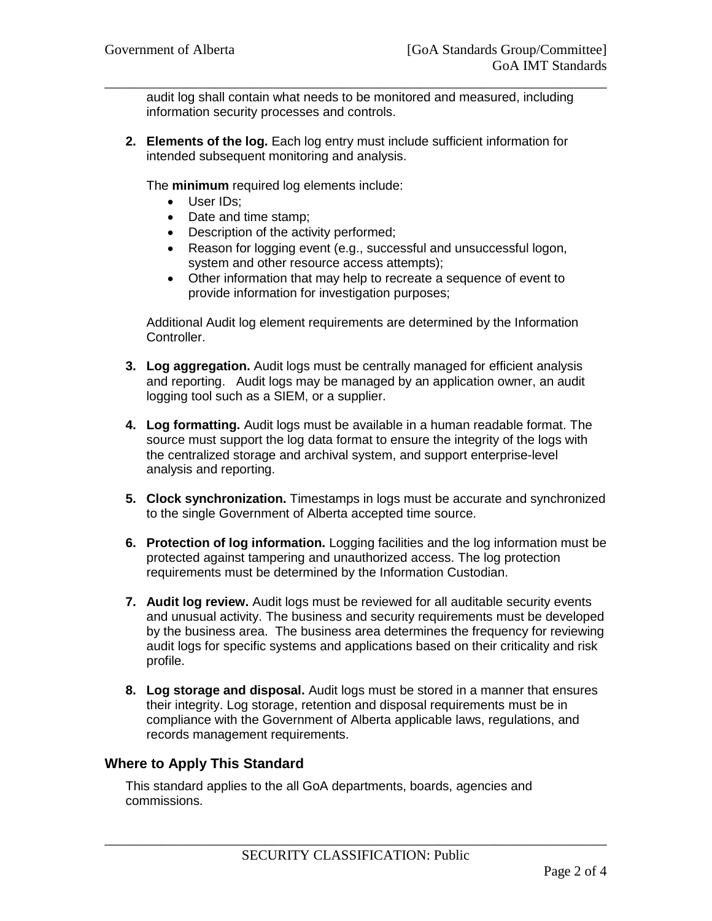audit log shall contain what needs to be monitored and measured, including information security processes and controls.

\_\_\_\_\_\_\_\_\_\_\_\_\_\_\_\_\_\_\_\_\_\_\_\_\_\_\_\_\_\_\_\_\_\_\_\_\_\_\_\_\_\_\_\_\_\_\_\_\_\_\_\_\_\_\_\_\_\_\_\_\_\_\_\_\_\_\_\_\_\_\_\_

**2. Elements of the log.** Each log entry must include sufficient information for intended subsequent monitoring and analysis.

The **minimum** required log elements include:

- User IDs:
- Date and time stamp;
- Description of the activity performed;
- Reason for logging event (e.g., successful and unsuccessful logon, system and other resource access attempts);
- Other information that may help to recreate a sequence of event to provide information for investigation purposes;

Additional Audit log element requirements are determined by the Information Controller.

- **3. Log aggregation.** Audit logs must be centrally managed for efficient analysis and reporting. Audit logs may be managed by an application owner, an audit logging tool such as a SIEM, or a supplier.
- **4. Log formatting.** Audit logs must be available in a human readable format. The source must support the log data format to ensure the integrity of the logs with the centralized storage and archival system, and support enterprise-level analysis and reporting.
- **5. Clock synchronization.** Timestamps in logs must be accurate and synchronized to the single Government of Alberta accepted time source.
- **6. Protection of log information.** Logging facilities and the log information must be protected against tampering and unauthorized access. The log protection requirements must be determined by the Information Custodian.
- **7. Audit log review.** Audit logs must be reviewed for all auditable security events and unusual activity. The business and security requirements must be developed by the business area. The business area determines the frequency for reviewing audit logs for specific systems and applications based on their criticality and risk profile.
- **8. Log storage and disposal.** Audit logs must be stored in a manner that ensures their integrity. Log storage, retention and disposal requirements must be in compliance with the Government of Alberta applicable laws, regulations, and records management requirements.

### **Where to Apply This Standard**

This standard applies to the all GoA departments, boards, agencies and commissions.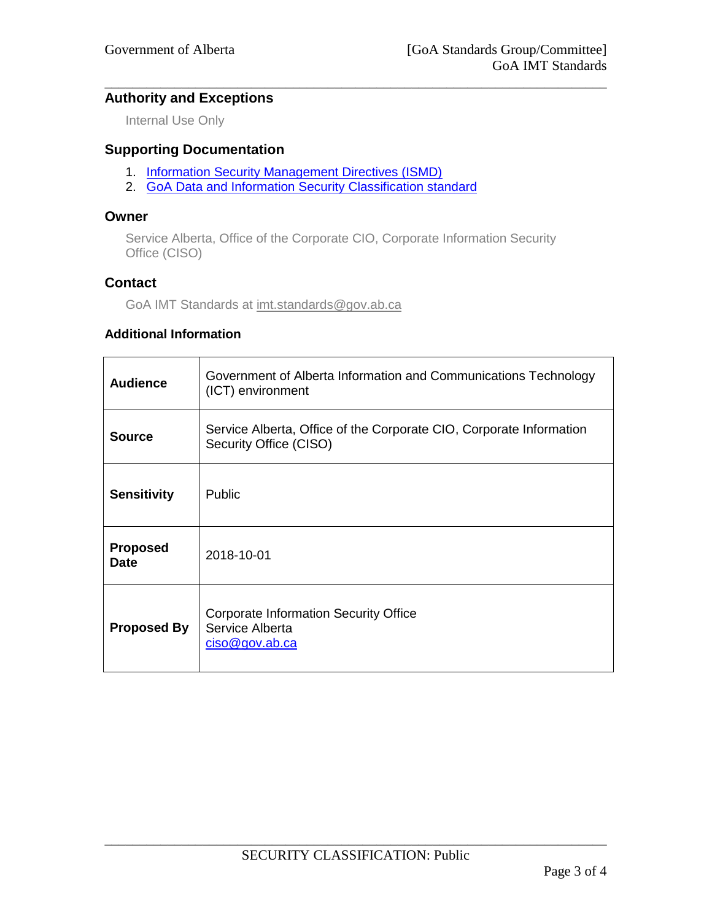## **Authority and Exceptions**

Internal Use Only

# **Supporting Documentation**

- 1. [Information Security Management Directives \(ISMD\)](http://www.servicelink.gov.ab.ca/security/GoAITSecurityFramework.cfm)
- 2. [GoA Data and Information Security Classification standard](https://imtpolicy.sp.alberta.ca/standards/Pages/Data-and-Information-Security-Classification.aspx)

#### **Owner**

Service Alberta, Office of the Corporate CIO, Corporate Information Security Office (CISO)

\_\_\_\_\_\_\_\_\_\_\_\_\_\_\_\_\_\_\_\_\_\_\_\_\_\_\_\_\_\_\_\_\_\_\_\_\_\_\_\_\_\_\_\_\_\_\_\_\_\_\_\_\_\_\_\_\_\_\_\_\_\_\_\_\_\_\_\_\_\_\_\_

### **Contact**

GoA IMT Standards at [imt.standards@gov.ab.ca](mailto:imt.standards@gov.ab.ca)

### **Additional Information**

| <b>Audience</b>                | Government of Alberta Information and Communications Technology<br>(ICT) environment          |
|--------------------------------|-----------------------------------------------------------------------------------------------|
| <b>Source</b>                  | Service Alberta, Office of the Corporate CIO, Corporate Information<br>Security Office (CISO) |
| <b>Sensitivity</b>             | Public                                                                                        |
| <b>Proposed</b><br><b>Date</b> | 2018-10-01                                                                                    |
| <b>Proposed By</b>             | <b>Corporate Information Security Office</b><br>Service Alberta<br>$\csc \omega$ gov.ab.ca    |